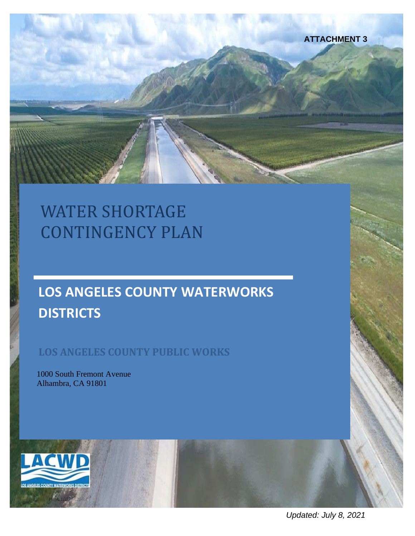

# WATER SHORTAGE CONTINGENCY PLAN

# **LOS ANGELES COUNTY WATERWORKS DISTRICTS**

## **LOS ANGELES COUNTY PUBLIC WORKS**

1000 South Fremont Avenue Alhambra, CA 91801



*Updated: July 8, 2021*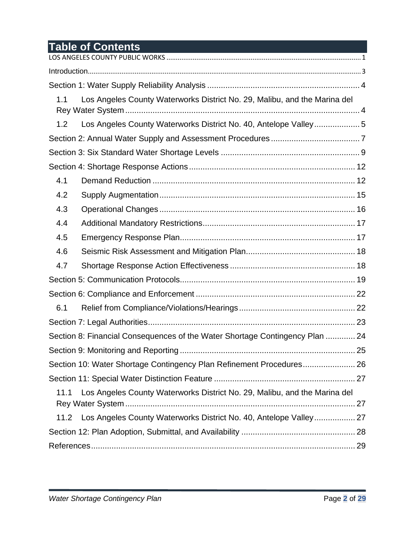## **Table of Contents**

| 1.1  | Los Angeles County Waterworks District No. 29, Malibu, and the Marina del    |  |
|------|------------------------------------------------------------------------------|--|
| 1.2  | Los Angeles County Waterworks District No. 40, Antelope Valley5              |  |
|      |                                                                              |  |
|      |                                                                              |  |
|      |                                                                              |  |
| 4.1  |                                                                              |  |
| 4.2  |                                                                              |  |
| 4.3  |                                                                              |  |
| 4.4  |                                                                              |  |
| 4.5  |                                                                              |  |
| 4.6  |                                                                              |  |
| 4.7  |                                                                              |  |
|      |                                                                              |  |
|      |                                                                              |  |
| 6.1  |                                                                              |  |
|      |                                                                              |  |
|      | Section 8: Financial Consequences of the Water Shortage Contingency Plan  24 |  |
|      |                                                                              |  |
|      |                                                                              |  |
|      |                                                                              |  |
| 11.1 | Los Angeles County Waterworks District No. 29, Malibu, and the Marina del    |  |
| 11.2 | Los Angeles County Waterworks District No. 40, Antelope Valley 27            |  |
|      |                                                                              |  |
|      |                                                                              |  |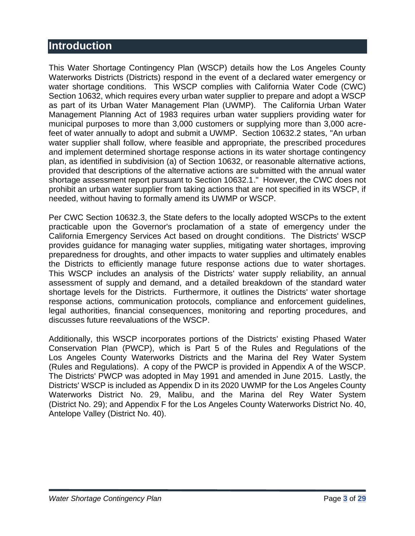## <span id="page-2-0"></span>**Introduction**

This Water Shortage Contingency Plan (WSCP) details how the Los Angeles County Waterworks Districts (Districts) respond in the event of a declared water emergency or water shortage conditions. This WSCP complies with California Water Code (CWC) Section 10632, which requires every urban water supplier to prepare and adopt a WSCP as part of its Urban Water Management Plan (UWMP). The California Urban Water Management Planning Act of 1983 requires urban water suppliers providing water for municipal purposes to more than 3,000 customers or supplying more than 3,000 acrefeet of water annually to adopt and submit a UWMP. Section 10632.2 states, "An urban water supplier shall follow, where feasible and appropriate, the prescribed procedures and implement determined shortage response actions in its water shortage contingency plan, as identified in subdivision (a) of Section 10632, or reasonable alternative actions, provided that descriptions of the alternative actions are submitted with the annual water shortage assessment report pursuant to Section 10632.1." However, the CWC does not prohibit an urban water supplier from taking actions that are not specified in its WSCP, if needed, without having to formally amend its UWMP or WSCP.

Per CWC Section 10632.3, the State defers to the locally adopted WSCPs to the extent practicable upon the Governor's proclamation of a state of emergency under the California Emergency Services Act based on drought conditions. The Districts' WSCP provides guidance for managing water supplies, mitigating water shortages, improving preparedness for droughts, and other impacts to water supplies and ultimately enables the Districts to efficiently manage future response actions due to water shortages. This WSCP includes an analysis of the Districts' water supply reliability, an annual assessment of supply and demand, and a detailed breakdown of the standard water shortage levels for the Districts. Furthermore, it outlines the Districts' water shortage response actions, communication protocols, compliance and enforcement guidelines, legal authorities, financial consequences, monitoring and reporting procedures, and discusses future reevaluations of the WSCP.

Additionally, this WSCP incorporates portions of the Districts' existing Phased Water Conservation Plan (PWCP), which is Part 5 of the Rules and Regulations of the Los Angeles County Waterworks Districts and the Marina del Rey Water System (Rules and Regulations). A copy of the PWCP is provided in Appendix A of the WSCP. The Districts' PWCP was adopted in May 1991 and amended in June 2015. Lastly, the Districts' WSCP is included as Appendix D in its 2020 UWMP for the Los Angeles County Waterworks District No. 29, Malibu, and the Marina del Rey Water System (District No. 29); and Appendix F for the Los Angeles County Waterworks District No. 40, Antelope Valley (District No. 40).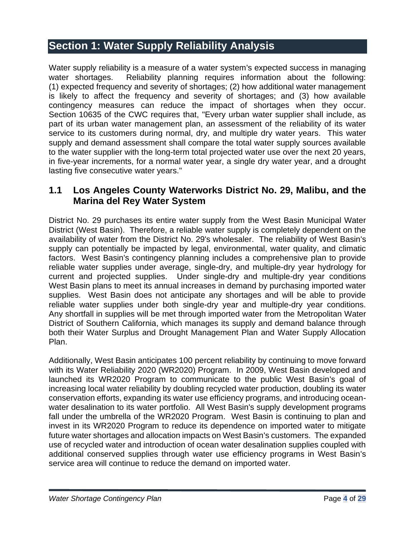## <span id="page-3-0"></span>**Section 1: Water Supply Reliability Analysis**

Water supply reliability is a measure of a water system's expected success in managing water shortages. Reliability planning requires information about the following: (1) expected frequency and severity of shortages; (2) how additional water management is likely to affect the frequency and severity of shortages; and (3) how available contingency measures can reduce the impact of shortages when they occur. Section 10635 of the CWC requires that, "Every urban water supplier shall include, as part of its urban water management plan, an assessment of the reliability of its water service to its customers during normal, dry, and multiple dry water years. This water supply and demand assessment shall compare the total water supply sources available to the water supplier with the long-term total projected water use over the next 20 years, in five-year increments, for a normal water year, a single dry water year, and a drought lasting five consecutive water years."

#### <span id="page-3-1"></span>**1.1 Los Angeles County Waterworks District No. 29, Malibu, and the Marina del Rey Water System**

District No. 29 purchases its entire water supply from the West Basin Municipal Water District (West Basin). Therefore, a reliable water supply is completely dependent on the availability of water from the District No. 29's wholesaler. The reliability of West Basin's supply can potentially be impacted by legal, environmental, water quality, and climatic factors. West Basin's contingency planning includes a comprehensive plan to provide reliable water supplies under average, single-dry, and multiple-dry year hydrology for current and projected supplies. Under single-dry and multiple-dry year conditions West Basin plans to meet its annual increases in demand by purchasing imported water supplies. West Basin does not anticipate any shortages and will be able to provide reliable water supplies under both single-dry year and multiple-dry year conditions. Any shortfall in supplies will be met through imported water from the Metropolitan Water District of Southern California, which manages its supply and demand balance through both their Water Surplus and Drought Management Plan and Water Supply Allocation Plan.

Additionally, West Basin anticipates 100 percent reliability by continuing to move forward with its Water Reliability 2020 (WR2020) Program. In 2009, West Basin developed and launched its WR2020 Program to communicate to the public West Basin's goal of increasing local water reliability by doubling recycled water production, doubling its water conservation efforts, expanding its water use efficiency programs, and introducing oceanwater desalination to its water portfolio. All West Basin's supply development programs fall under the umbrella of the WR2020 Program. West Basin is continuing to plan and invest in its WR2020 Program to reduce its dependence on imported water to mitigate future water shortages and allocation impacts on West Basin's customers. The expanded use of recycled water and introduction of ocean water desalination supplies coupled with additional conserved supplies through water use efficiency programs in West Basin's service area will continue to reduce the demand on imported water.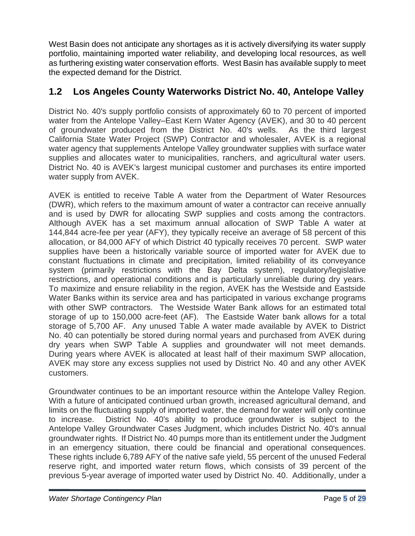West Basin does not anticipate any shortages as it is actively diversifying its water supply portfolio, maintaining imported water reliability, and developing local resources, as well as furthering existing water conservation efforts. West Basin has available supply to meet the expected demand for the District.

## <span id="page-4-0"></span>**1.2 Los Angeles County Waterworks District No. 40, Antelope Valley**

District No. 40's supply portfolio consists of approximately 60 to 70 percent of imported water from the Antelope Valley–East Kern Water Agency (AVEK), and 30 to 40 percent of groundwater produced from the District No. 40's wells. As the third largest California State Water Project (SWP) Contractor and wholesaler, AVEK is a regional water agency that supplements Antelope Valley groundwater supplies with surface water supplies and allocates water to municipalities, ranchers, and agricultural water users. District No. 40 is AVEK's largest municipal customer and purchases its entire imported water supply from AVEK.

AVEK is entitled to receive Table A water from the Department of Water Resources (DWR), which refers to the maximum amount of water a contractor can receive annually and is used by DWR for allocating SWP supplies and costs among the contractors. Although AVEK has a set maximum annual allocation of SWP Table A water at 144,844 acre-fee per year (AFY), they typically receive an average of 58 percent of this allocation, or 84,000 AFY of which District 40 typically receives 70 percent. SWP water supplies have been a historically variable source of imported water for AVEK due to constant fluctuations in climate and precipitation, limited reliability of its conveyance system (primarily restrictions with the Bay Delta system), regulatory/legislative restrictions, and operational conditions and is particularly unreliable during dry years. To maximize and ensure reliability in the region, AVEK has the Westside and Eastside Water Banks within its service area and has participated in various exchange programs with other SWP contractors. The Westside Water Bank allows for an estimated total storage of up to 150,000 acre-feet (AF). The Eastside Water bank allows for a total storage of 5,700 AF. Any unused Table A water made available by AVEK to District No. 40 can potentially be stored during normal years and purchased from AVEK during dry years when SWP Table A supplies and groundwater will not meet demands. During years where AVEK is allocated at least half of their maximum SWP allocation, AVEK may store any excess supplies not used by District No. 40 and any other AVEK customers.

Groundwater continues to be an important resource within the Antelope Valley Region. With a future of anticipated continued urban growth, increased agricultural demand, and limits on the fluctuating supply of imported water, the demand for water will only continue to increase. District No. 40's ability to produce groundwater is subject to the Antelope Valley Groundwater Cases Judgment, which includes District No. 40's annual groundwater rights. If District No. 40 pumps more than its entitlement under the Judgment in an emergency situation, there could be financial and operational consequences. These rights include 6,789 AFY of the native safe yield, 55 percent of the unused Federal reserve right, and imported water return flows, which consists of 39 percent of the previous 5-year average of imported water used by District No. 40. Additionally, under a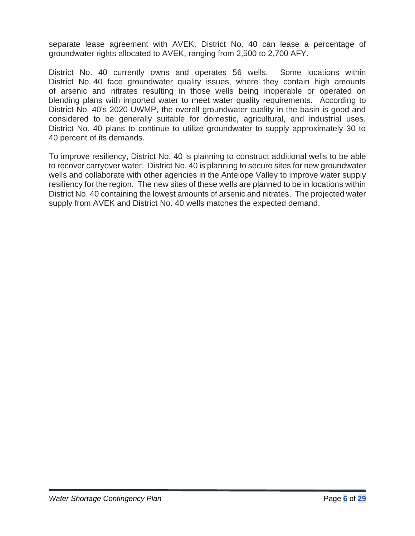separate lease agreement with AVEK, District No. 40 can lease a percentage of groundwater rights allocated to AVEK, ranging from 2,500 to 2,700 AFY.

District No. 40 currently owns and operates 56 wells. Some locations within District No. 40 face groundwater quality issues, where they contain high amounts of arsenic and nitrates resulting in those wells being inoperable or operated on blending plans with imported water to meet water quality requirements. According to District No. 40's 2020 UWMP, the overall groundwater quality in the basin is good and considered to be generally suitable for domestic, agricultural, and industrial uses. District No. 40 plans to continue to utilize groundwater to supply approximately 30 to 40 percent of its demands.

To improve resiliency, District No. 40 is planning to construct additional wells to be able to recover carryover water. District No. 40 is planning to secure sites for new groundwater wells and collaborate with other agencies in the Antelope Valley to improve water supply resiliency for the region. The new sites of these wells are planned to be in locations within District No. 40 containing the lowest amounts of arsenic and nitrates. The projected water supply from AVEK and District No. 40 wells matches the expected demand.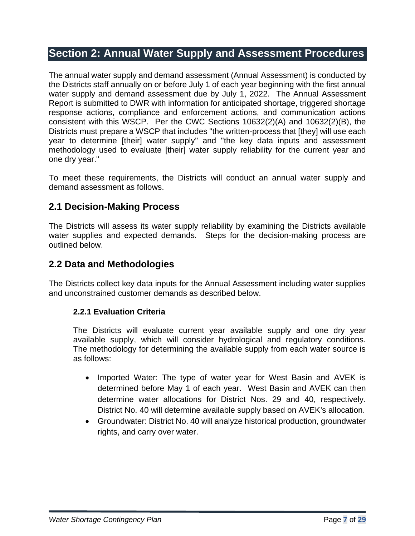## <span id="page-6-0"></span>**Section 2: Annual Water Supply and Assessment Procedures**

The annual water supply and demand assessment (Annual Assessment) is conducted by the Districts staff annually on or before July 1 of each year beginning with the first annual water supply and demand assessment due by July 1, 2022. The Annual Assessment Report is submitted to DWR with information for anticipated shortage, triggered shortage response actions, compliance and enforcement actions, and communication actions consistent with this WSCP. Per the CWC Sections 10632(2)(A) and 10632(2)(B), the Districts must prepare a WSCP that includes "the written-process that [they] will use each year to determine [their] water supply" and "the key data inputs and assessment methodology used to evaluate [their] water supply reliability for the current year and one dry year."

To meet these requirements, the Districts will conduct an annual water supply and demand assessment as follows.

#### **2.1 Decision-Making Process**

The Districts will assess its water supply reliability by examining the Districts available water supplies and expected demands. Steps for the decision-making process are outlined below.

#### **2.2 Data and Methodologies**

The Districts collect key data inputs for the Annual Assessment including water supplies and unconstrained customer demands as described below.

#### **2.2.1 Evaluation Criteria**

The Districts will evaluate current year available supply and one dry year available supply, which will consider hydrological and regulatory conditions. The methodology for determining the available supply from each water source is as follows:

- Imported Water: The type of water year for West Basin and AVEK is determined before May 1 of each year. West Basin and AVEK can then determine water allocations for District Nos. 29 and 40, respectively. District No. 40 will determine available supply based on AVEK's allocation.
- Groundwater: District No. 40 will analyze historical production, groundwater rights, and carry over water.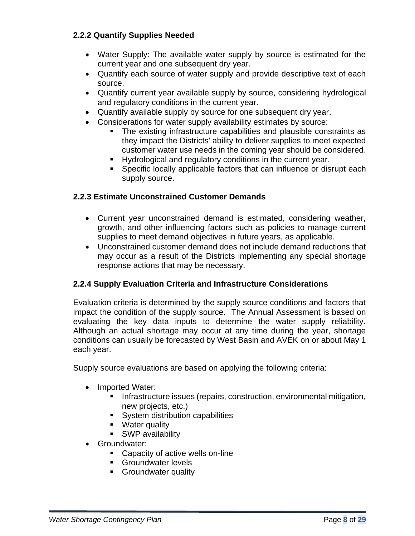#### **2.2.2 Quantify Supplies Needed**

- Water Supply: The available water supply by source is estimated for the current year and one subsequent dry year.
- Quantify each source of water supply and provide descriptive text of each source.
- Quantify current year available supply by source, considering hydrological and regulatory conditions in the current year.
- Quantify available supply by source for one subsequent dry year.
- Considerations for water supply availability estimates by source:
	- The existing infrastructure capabilities and plausible constraints as they impact the Districts' ability to deliver supplies to meet expected customer water use needs in the coming year should be considered.
	- Hydrological and regulatory conditions in the current year.
	- Specific locally applicable factors that can influence or disrupt each supply source.

#### **2.2.3 Estimate Unconstrained Customer Demands**

- Current year unconstrained demand is estimated, considering weather, growth, and other influencing factors such as policies to manage current supplies to meet demand objectives in future years, as applicable.
- Unconstrained customer demand does not include demand reductions that may occur as a result of the Districts implementing any special shortage response actions that may be necessary.

#### **2.2.4 Supply Evaluation Criteria and Infrastructure Considerations**

Evaluation criteria is determined by the supply source conditions and factors that impact the condition of the supply source. The Annual Assessment is based on evaluating the key data inputs to determine the water supply reliability. Although an actual shortage may occur at any time during the year, shortage conditions can usually be forecasted by West Basin and AVEK on or about May 1 each year.

Supply source evaluations are based on applying the following criteria:

- Imported Water:
	- **EXEDENT Infrastructure issues (repairs, construction, environmental mitigation,** new projects, etc.)
	- System distribution capabilities
	- Water quality
	- SWP availability
- Groundwater:
	- Capacity of active wells on-line
	- Groundwater levels
	- Groundwater quality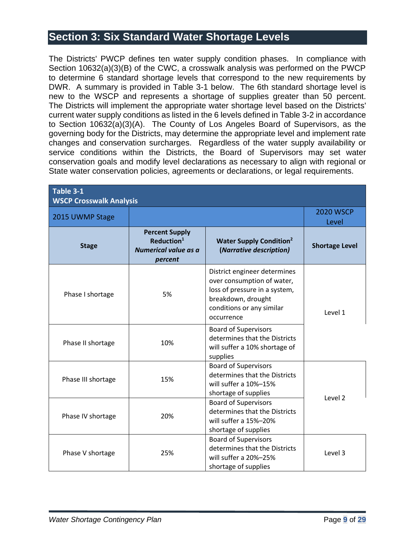## <span id="page-8-0"></span>**Section 3: Six Standard Water Shortage Levels**

The Districts' PWCP defines ten water supply condition phases. In compliance with Section 10632(a)(3)(B) of the CWC, a crosswalk analysis was performed on the PWCP to determine 6 standard shortage levels that correspond to the new requirements by DWR. A summary is provided in Table 3-1 below. The 6th standard shortage level is new to the WSCP and represents a shortage of supplies greater than 50 percent. The Districts will implement the appropriate water shortage level based on the Districts' current water supply conditions as listed in the 6 levels defined in Table 3-2 in accordance to Section 10632(a)(3)(A). The County of Los Angeles Board of Supervisors, as the governing body for the Districts, may determine the appropriate level and implement rate changes and conservation surcharges. Regardless of the water supply availability or service conditions within the Districts, the Board of Supervisors may set water conservation goals and modify level declarations as necessary to align with regional or State water conservation policies, agreements or declarations, or legal requirements.

| Table 3-1<br><b>WSCP Crosswalk Analysis</b> |                                                                                    |                                                                                                                                                              |                           |  |
|---------------------------------------------|------------------------------------------------------------------------------------|--------------------------------------------------------------------------------------------------------------------------------------------------------------|---------------------------|--|
| 2015 UWMP Stage                             |                                                                                    |                                                                                                                                                              | <b>2020 WSCP</b><br>Level |  |
| <b>Stage</b>                                | <b>Percent Supply</b><br>Reduction <sup>1</sup><br>Numerical value as a<br>percent | <b>Water Supply Condition<sup>2</sup></b><br>(Narrative description)                                                                                         | <b>Shortage Level</b>     |  |
| Phase I shortage                            | 5%                                                                                 | District engineer determines<br>over consumption of water,<br>loss of pressure in a system,<br>breakdown, drought<br>conditions or any similar<br>occurrence | Level 1                   |  |
| Phase II shortage                           | 10%                                                                                | <b>Board of Supervisors</b><br>determines that the Districts<br>will suffer a 10% shortage of<br>supplies                                                    |                           |  |
| Phase III shortage                          | 15%                                                                                | <b>Board of Supervisors</b><br>determines that the Districts<br>will suffer a 10%-15%<br>shortage of supplies                                                |                           |  |
| Phase IV shortage                           | 20%                                                                                | <b>Board of Supervisors</b><br>determines that the Districts<br>will suffer a 15%-20%<br>shortage of supplies                                                | Level <sub>2</sub>        |  |
| Phase V shortage                            | 25%                                                                                | <b>Board of Supervisors</b><br>determines that the Districts<br>will suffer a 20%-25%<br>shortage of supplies                                                | Level 3                   |  |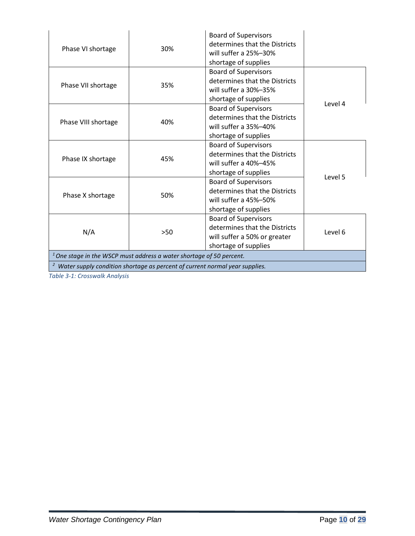| Phase VI shortage                                                                        | 30% | <b>Board of Supervisors</b><br>determines that the Districts<br>will suffer a 25%-30%<br>shortage of supplies        |         |  |
|------------------------------------------------------------------------------------------|-----|----------------------------------------------------------------------------------------------------------------------|---------|--|
| Phase VII shortage                                                                       | 35% | <b>Board of Supervisors</b><br>determines that the Districts<br>will suffer a 30%-35%<br>shortage of supplies        | Level 4 |  |
| Phase VIII shortage                                                                      | 40% | <b>Board of Supervisors</b><br>determines that the Districts<br>will suffer a 35%-40%<br>shortage of supplies        |         |  |
| Phase IX shortage                                                                        | 45% | <b>Board of Supervisors</b><br>determines that the Districts<br>will suffer a 40%-45%<br>shortage of supplies        |         |  |
| Phase X shortage                                                                         | 50% | <b>Board of Supervisors</b><br>determines that the Districts<br>will suffer a 45%-50%<br>shortage of supplies        | Level 5 |  |
| N/A                                                                                      | >50 | <b>Board of Supervisors</b><br>determines that the Districts<br>will suffer a 50% or greater<br>shortage of supplies | Level 6 |  |
| $1$ One stage in the WSCP must address a water shortage of 50 percent.                   |     |                                                                                                                      |         |  |
| <sup>2</sup> Water supply condition shortage as percent of current normal year supplies. |     |                                                                                                                      |         |  |

*Table 3-1: Crosswalk Analysis*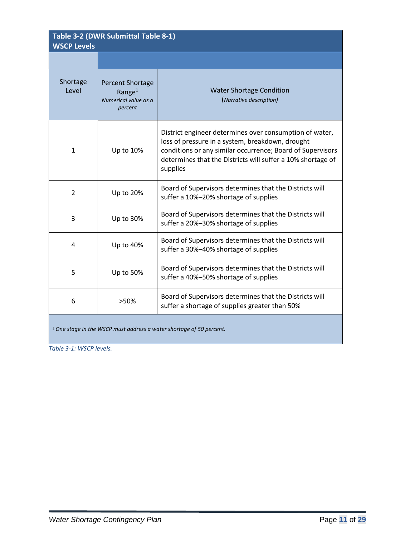| Table 3-2 (DWR Submittal Table 8-1)<br><b>WSCP Levels</b>                       |                                                                         |                                                                                                                                                                                                                                                      |  |  |
|---------------------------------------------------------------------------------|-------------------------------------------------------------------------|------------------------------------------------------------------------------------------------------------------------------------------------------------------------------------------------------------------------------------------------------|--|--|
|                                                                                 |                                                                         |                                                                                                                                                                                                                                                      |  |  |
| Shortage<br>Level                                                               | <b>Percent Shortage</b><br>Range $1$<br>Numerical value as a<br>percent | <b>Water Shortage Condition</b><br>(Narrative description)                                                                                                                                                                                           |  |  |
| $\mathbf{1}$                                                                    | Up to 10%                                                               | District engineer determines over consumption of water,<br>loss of pressure in a system, breakdown, drought<br>conditions or any similar occurrence; Board of Supervisors<br>determines that the Districts will suffer a 10% shortage of<br>supplies |  |  |
| $\overline{2}$                                                                  | Up to 20%                                                               | Board of Supervisors determines that the Districts will<br>suffer a 10%-20% shortage of supplies                                                                                                                                                     |  |  |
| 3                                                                               | Up to 30%                                                               | Board of Supervisors determines that the Districts will<br>suffer a 20%-30% shortage of supplies                                                                                                                                                     |  |  |
| 4                                                                               | Up to 40%                                                               | Board of Supervisors determines that the Districts will<br>suffer a 30%-40% shortage of supplies                                                                                                                                                     |  |  |
| 5                                                                               | Up to 50%                                                               | Board of Supervisors determines that the Districts will<br>suffer a 40%-50% shortage of supplies                                                                                                                                                     |  |  |
| 6                                                                               | >50%                                                                    | Board of Supervisors determines that the Districts will<br>suffer a shortage of supplies greater than 50%                                                                                                                                            |  |  |
| <sup>1</sup> One stage in the WSCP must address a water shortage of 50 percent. |                                                                         |                                                                                                                                                                                                                                                      |  |  |

*Table 3-1: WSCP levels.*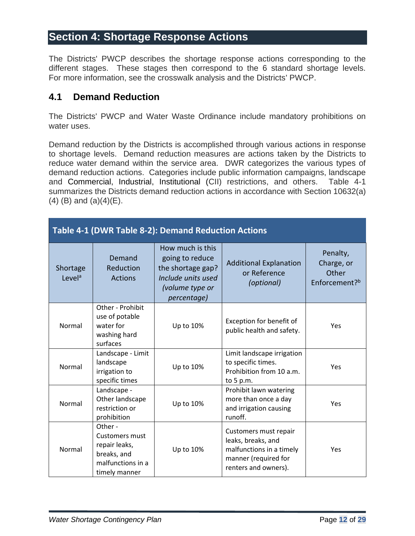### <span id="page-11-0"></span>**Section 4: Shortage Response Actions**

The Districts' PWCP describes the shortage response actions corresponding to the different stages. These stages then correspond to the 6 standard shortage levels. For more information, see the crosswalk analysis and the Districts' PWCP.

#### <span id="page-11-1"></span>**4.1 Demand Reduction**

The Districts' PWCP and Water Waste Ordinance include mandatory prohibitions on water uses.

Demand reduction by the Districts is accomplished through various actions in response to shortage levels. Demand reduction measures are actions taken by the Districts to reduce water demand within the service area. DWR categorizes the various types of demand reduction actions. Categories include public information campaigns, landscape and Commercial, Industrial, Institutional (CII) restrictions, and others. Table 4-1 summarizes the Districts demand reduction actions in accordance with Section 10632(a)  $(4)$  (B) and  $(a)(4)$ (E).

| <b>Table 4-1 (DWR Table 8-2): Demand Reduction Actions</b> |                                                                                                        |                                                                                                                          |                                                                                                                         |                                                              |  |
|------------------------------------------------------------|--------------------------------------------------------------------------------------------------------|--------------------------------------------------------------------------------------------------------------------------|-------------------------------------------------------------------------------------------------------------------------|--------------------------------------------------------------|--|
| Shortage<br>Level <sup>a</sup>                             | Demand<br>Reduction<br><b>Actions</b>                                                                  | How much is this<br>going to reduce<br>the shortage gap?<br>Include units used<br>(volume type or<br><i>percentage</i> ) | <b>Additional Explanation</b><br>or Reference<br>(optional)                                                             | Penalty,<br>Charge, or<br>Other<br>Enforcement? <sup>b</sup> |  |
| Normal                                                     | Other - Prohibit<br>use of potable<br>water for<br>washing hard<br>surfaces                            | Up to 10%                                                                                                                | Exception for benefit of<br>public health and safety.                                                                   | Yes                                                          |  |
| Normal                                                     | Landscape - Limit<br>landscape<br>irrigation to<br>specific times                                      | Up to 10%                                                                                                                | Limit landscape irrigation<br>to specific times.<br>Prohibition from 10 a.m.<br>to 5 p.m.                               | Yes                                                          |  |
| Normal                                                     | Landscape -<br>Other landscape<br>restriction or<br>prohibition                                        | Up to 10%                                                                                                                | Prohibit lawn watering<br>more than once a day<br>and irrigation causing<br>runoff.                                     | Yes                                                          |  |
| Normal                                                     | Other -<br><b>Customers must</b><br>repair leaks,<br>breaks, and<br>malfunctions in a<br>timely manner | Up to 10%                                                                                                                | Customers must repair<br>leaks, breaks, and<br>malfunctions in a timely<br>manner (required for<br>renters and owners). | Yes                                                          |  |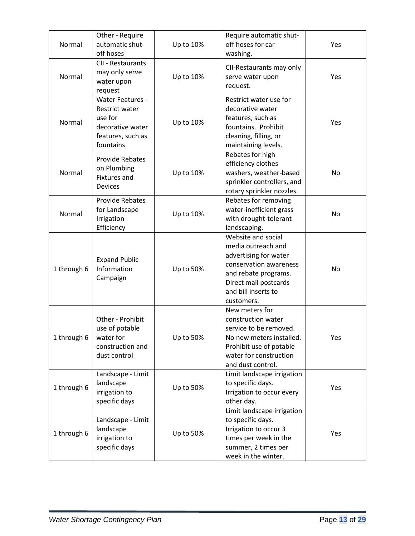| Normal      | Other - Require<br>automatic shut-<br>off hoses                                                                   | Up to 10% | Require automatic shut-<br>off hoses for car<br>washing.                                                                                                                          | Yes |
|-------------|-------------------------------------------------------------------------------------------------------------------|-----------|-----------------------------------------------------------------------------------------------------------------------------------------------------------------------------------|-----|
| Normal      | CII - Restaurants<br>may only serve<br>water upon<br>request                                                      | Up to 10% | CII-Restaurants may only<br>serve water upon<br>request.                                                                                                                          | Yes |
| Normal      | <b>Water Features -</b><br><b>Restrict water</b><br>use for<br>decorative water<br>features, such as<br>fountains | Up to 10% | Restrict water use for<br>decorative water<br>features, such as<br>fountains. Prohibit<br>cleaning, filling, or<br>maintaining levels.                                            | Yes |
| Normal      | <b>Provide Rebates</b><br>on Plumbing<br><b>Fixtures and</b><br><b>Devices</b>                                    | Up to 10% | Rebates for high<br>efficiency clothes<br>washers, weather-based<br>sprinkler controllers, and<br>rotary sprinkler nozzles.                                                       | No  |
| Normal      | <b>Provide Rebates</b><br>for Landscape<br>Irrigation<br>Efficiency                                               | Up to 10% | Rebates for removing<br>water-inefficient grass<br>with drought-tolerant<br>landscaping.                                                                                          | No  |
| 1 through 6 | <b>Expand Public</b><br>Information<br>Campaign                                                                   | Up to 50% | Website and social<br>media outreach and<br>advertising for water<br>conservation awareness<br>and rebate programs.<br>Direct mail postcards<br>and bill inserts to<br>customers. | No  |
| 1 through 6 | Other - Prohibit<br>use of potable<br>water for<br>construction and<br>dust control                               | Up to 50% | New meters for<br>construction water<br>service to be removed.<br>No new meters installed.<br>Prohibit use of potable<br>water for construction<br>and dust control.              | Yes |
| 1 through 6 | Landscape - Limit<br>landscape<br>irrigation to<br>specific days                                                  | Up to 50% | Limit landscape irrigation<br>to specific days.<br>Irrigation to occur every<br>other day.                                                                                        | Yes |
| 1 through 6 | Landscape - Limit<br>landscape<br>irrigation to<br>specific days                                                  | Up to 50% | Limit landscape irrigation<br>to specific days.<br>Irrigation to occur 3<br>times per week in the<br>summer, 2 times per<br>week in the winter.                                   | Yes |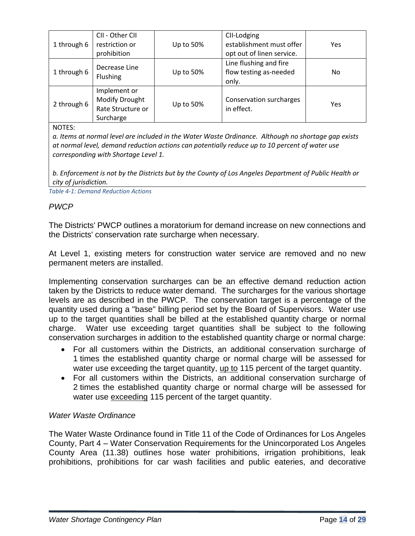| 1 through 6 | CII - Other CII<br>restriction or<br>prohibition                 | Up to 50% | CII-Lodging<br>establishment must offer<br>opt out of linen service. | Yes |
|-------------|------------------------------------------------------------------|-----------|----------------------------------------------------------------------|-----|
| 1 through 6 | Decrease Line<br>Flushing                                        | Up to 50% | Line flushing and fire<br>flow testing as-needed<br>only.            | No  |
| 2 through 6 | Implement or<br>Modify Drought<br>Rate Structure or<br>Surcharge | Up to 50% | Conservation surcharges<br>in effect.                                | Yes |

NOTES:

*a. Items at normal level are included in the Water Waste Ordinance. Although no shortage gap exists at normal level, demand reduction actions can potentially reduce up to 10 percent of water use corresponding with Shortage Level 1.*

*b. Enforcement is not by the Districts but by the County of Los Angeles Department of Public Health or city of jurisdiction.*

*Table 4-1: Demand Reduction Actions*

#### *PWCP*

The Districts' PWCP outlines a moratorium for demand increase on new connections and the Districts' conservation rate surcharge when necessary.

At Level 1, existing meters for construction water service are removed and no new permanent meters are installed.

Implementing conservation surcharges can be an effective demand reduction action taken by the Districts to reduce water demand. The surcharges for the various shortage levels are as described in the PWCP. The conservation target is a percentage of the quantity used during a "base" billing period set by the Board of Supervisors. Water use up to the target quantities shall be billed at the established quantity charge or normal charge. Water use exceeding target quantities shall be subject to the following conservation surcharges in addition to the established quantity charge or normal charge:

- For all customers within the Districts, an additional conservation surcharge of 1 times the established quantity charge or normal charge will be assessed for water use exceeding the target quantity, up to 115 percent of the target quantity.
- For all customers within the Districts, an additional conservation surcharge of 2 times the established quantity charge or normal charge will be assessed for water use exceeding 115 percent of the target quantity.

#### *Water Waste Ordinance*

The Water Waste Ordinance found in Title 11 of the Code of Ordinances for Los Angeles County, Part 4 – Water Conservation Requirements for the Unincorporated Los Angeles County Area (11.38) outlines hose water prohibitions, irrigation prohibitions, leak prohibitions, prohibitions for car wash facilities and public eateries, and decorative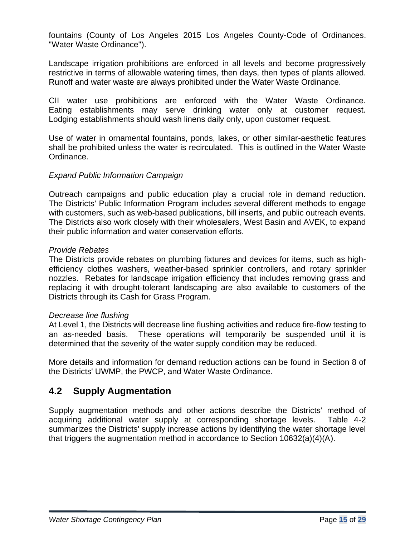fountains (County of Los Angeles 2015 Los Angeles County-Code of Ordinances. "Water Waste Ordinance").

Landscape irrigation prohibitions are enforced in all levels and become progressively restrictive in terms of allowable watering times, then days, then types of plants allowed. Runoff and water waste are always prohibited under the Water Waste Ordinance.

CII water use prohibitions are enforced with the Water Waste Ordinance. Eating establishments may serve drinking water only at customer request. Lodging establishments should wash linens daily only, upon customer request.

Use of water in ornamental fountains, ponds, lakes, or other similar-aesthetic features shall be prohibited unless the water is recirculated. This is outlined in the Water Waste Ordinance.

#### *Expand Public Information Campaign*

Outreach campaigns and public education play a crucial role in demand reduction. The Districts' Public Information Program includes several different methods to engage with customers, such as web-based publications, bill inserts, and public outreach events. The Districts also work closely with their wholesalers, West Basin and AVEK, to expand their public information and water conservation efforts.

#### *Provide Rebates*

The Districts provide rebates on plumbing fixtures and devices for items, such as highefficiency clothes washers, weather-based sprinkler controllers, and rotary sprinkler nozzles. Rebates for landscape irrigation efficiency that includes removing grass and replacing it with drought-tolerant landscaping are also available to customers of the Districts through its Cash for Grass Program.

#### *Decrease line flushing*

At Level 1, the Districts will decrease line flushing activities and reduce fire-flow testing to an as-needed basis. These operations will temporarily be suspended until it is determined that the severity of the water supply condition may be reduced.

More details and information for demand reduction actions can be found in Section 8 of the Districts' UWMP, the PWCP, and Water Waste Ordinance.

#### <span id="page-14-0"></span>**4.2 Supply Augmentation**

Supply augmentation methods and other actions describe the Districts' method of acquiring additional water supply at corresponding shortage levels. Table 4-2 summarizes the Districts' supply increase actions by identifying the water shortage level that triggers the augmentation method in accordance to Section 10632(a)(4)(A).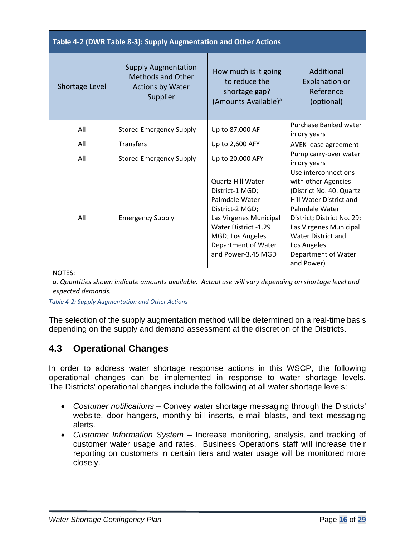| Table 4-2 (DWR Table 8-3): Supply Augmentation and Other Actions |                                                                                               |                                                                                                                                                                                                     |                                                                                                                                                                                                                                                                      |  |  |
|------------------------------------------------------------------|-----------------------------------------------------------------------------------------------|-----------------------------------------------------------------------------------------------------------------------------------------------------------------------------------------------------|----------------------------------------------------------------------------------------------------------------------------------------------------------------------------------------------------------------------------------------------------------------------|--|--|
| Shortage Level                                                   | <b>Supply Augmentation</b><br><b>Methods and Other</b><br><b>Actions by Water</b><br>Supplier | How much is it going<br>to reduce the<br>shortage gap?<br>(Amounts Available) <sup>a</sup>                                                                                                          | Additional<br><b>Explanation or</b><br>Reference<br>(optional)                                                                                                                                                                                                       |  |  |
| All                                                              | <b>Stored Emergency Supply</b>                                                                | Up to 87,000 AF                                                                                                                                                                                     | Purchase Banked water<br>in dry years                                                                                                                                                                                                                                |  |  |
| All                                                              | <b>Transfers</b>                                                                              | Up to 2,600 AFY                                                                                                                                                                                     | AVEK lease agreement                                                                                                                                                                                                                                                 |  |  |
| All                                                              | <b>Stored Emergency Supply</b>                                                                | Up to 20,000 AFY                                                                                                                                                                                    | Pump carry-over water<br>in dry years                                                                                                                                                                                                                                |  |  |
| All                                                              | <b>Emergency Supply</b>                                                                       | <b>Quartz Hill Water</b><br>District-1 MGD;<br>Palmdale Water<br>District-2 MGD;<br>Las Virgenes Municipal<br>Water District -1.29<br>MGD; Los Angeles<br>Department of Water<br>and Power-3.45 MGD | Use interconnections<br>with other Agencies<br>(District No. 40: Quartz<br><b>Hill Water District and</b><br>Palmdale Water<br>District; District No. 29:<br>Las Virgenes Municipal<br><b>Water District and</b><br>Los Angeles<br>Department of Water<br>and Power) |  |  |

NOTES:

*a. Quantities shown indicate amounts available. Actual use will vary depending on shortage level and expected demands.*

*Table 4-2: Supply Augmentation and Other Actions*

The selection of the supply augmentation method will be determined on a real-time basis depending on the supply and demand assessment at the discretion of the Districts.

### <span id="page-15-0"></span>**4.3 Operational Changes**

In order to address water shortage response actions in this WSCP, the following operational changes can be implemented in response to water shortage levels. The Districts' operational changes include the following at all water shortage levels:

- *Costumer notifications* Convey water shortage messaging through the Districts' website, door hangers, monthly bill inserts, e-mail blasts, and text messaging alerts.
- *Customer Information System* Increase monitoring, analysis, and tracking of customer water usage and rates. Business Operations staff will increase their reporting on customers in certain tiers and water usage will be monitored more closely.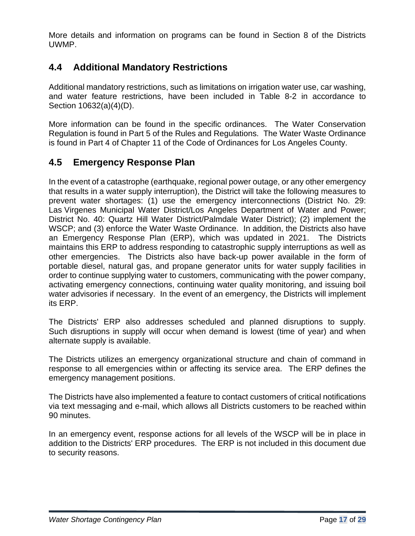More details and information on programs can be found in Section 8 of the Districts UWMP.

### <span id="page-16-0"></span>**4.4 Additional Mandatory Restrictions**

Additional mandatory restrictions, such as limitations on irrigation water use, car washing, and water feature restrictions, have been included in Table 8-2 in accordance to Section 10632(a)(4)(D).

More information can be found in the specific ordinances. The Water Conservation Regulation is found in Part 5 of the Rules and Regulations. The Water Waste Ordinance is found in Part 4 of Chapter 11 of the Code of Ordinances for Los Angeles County.

### <span id="page-16-1"></span>**4.5 Emergency Response Plan**

In the event of a catastrophe (earthquake, regional power outage, or any other emergency that results in a water supply interruption), the District will take the following measures to prevent water shortages: (1) use the emergency interconnections (District No. 29: Las Virgenes Municipal Water District/Los Angeles Department of Water and Power; District No. 40: Quartz Hill Water District/Palmdale Water District); (2) implement the WSCP; and (3) enforce the Water Waste Ordinance. In addition, the Districts also have an Emergency Response Plan (ERP), which was updated in 2021. The Districts maintains this ERP to address responding to catastrophic supply interruptions as well as other emergencies. The Districts also have back-up power available in the form of portable diesel, natural gas, and propane generator units for water supply facilities in order to continue supplying water to customers, communicating with the power company, activating emergency connections, continuing water quality monitoring, and issuing boil water advisories if necessary. In the event of an emergency, the Districts will implement its ERP.

The Districts' ERP also addresses scheduled and planned disruptions to supply. Such disruptions in supply will occur when demand is lowest (time of year) and when alternate supply is available.

The Districts utilizes an emergency organizational structure and chain of command in response to all emergencies within or affecting its service area. The ERP defines the emergency management positions.

The Districts have also implemented a feature to contact customers of critical notifications via text messaging and e-mail, which allows all Districts customers to be reached within 90 minutes.

In an emergency event, response actions for all levels of the WSCP will be in place in addition to the Districts' ERP procedures. The ERP is not included in this document due to security reasons.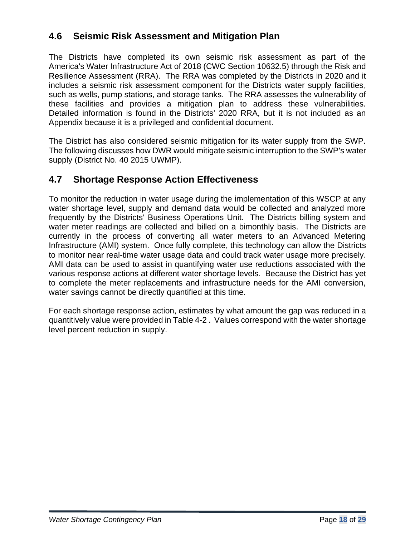## <span id="page-17-0"></span>**4.6 Seismic Risk Assessment and Mitigation Plan**

The Districts have completed its own seismic risk assessment as part of the America's Water Infrastructure Act of 2018 (CWC Section 10632.5) through the Risk and Resilience Assessment (RRA). The RRA was completed by the Districts in 2020 and it includes a seismic risk assessment component for the Districts water supply facilities, such as wells, pump stations, and storage tanks. The RRA assesses the vulnerability of these facilities and provides a mitigation plan to address these vulnerabilities. Detailed information is found in the Districts' 2020 RRA, but it is not included as an Appendix because it is a privileged and confidential document.

The District has also considered seismic mitigation for its water supply from the SWP. The following discusses how DWR would mitigate seismic interruption to the SWP's water supply (District No. 40 2015 UWMP).

## <span id="page-17-1"></span>**4.7 Shortage Response Action Effectiveness**

To monitor the reduction in water usage during the implementation of this WSCP at any water shortage level, supply and demand data would be collected and analyzed more frequently by the Districts' Business Operations Unit. The Districts billing system and water meter readings are collected and billed on a bimonthly basis. The Districts are currently in the process of converting all water meters to an Advanced Metering Infrastructure (AMI) system. Once fully complete, this technology can allow the Districts to monitor near real-time water usage data and could track water usage more precisely. AMI data can be used to assist in quantifying water use reductions associated with the various response actions at different water shortage levels. Because the District has yet to complete the meter replacements and infrastructure needs for the AMI conversion, water savings cannot be directly quantified at this time.

For each shortage response action, estimates by what amount the gap was reduced in a quantitively value were provided in Table 4-2 . Values correspond with the water shortage level percent reduction in supply.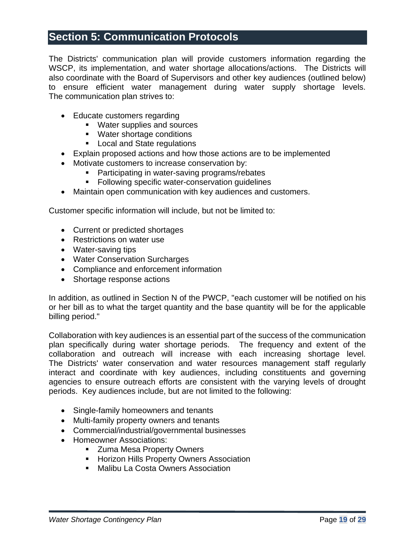## <span id="page-18-0"></span>**Section 5: Communication Protocols**

The Districts' communication plan will provide customers information regarding the WSCP, its implementation, and water shortage allocations/actions. The Districts will also coordinate with the Board of Supervisors and other key audiences (outlined below) to ensure efficient water management during water supply shortage levels. The communication plan strives to:

- Educate customers regarding
	- Water supplies and sources
	- Water shortage conditions
	- Local and State regulations
- Explain proposed actions and how those actions are to be implemented
- Motivate customers to increase conservation by:
	- Participating in water-saving programs/rebates
	- **EXECTE:** Following specific water-conservation guidelines
- Maintain open communication with key audiences and customers.

Customer specific information will include, but not be limited to:

- Current or predicted shortages
- Restrictions on water use
- Water-saving tips
- Water Conservation Surcharges
- Compliance and enforcement information
- Shortage response actions

In addition, as outlined in Section N of the PWCP, "each customer will be notified on his or her bill as to what the target quantity and the base quantity will be for the applicable billing period."

Collaboration with key audiences is an essential part of the success of the communication plan specifically during water shortage periods. The frequency and extent of the collaboration and outreach will increase with each increasing shortage level. The Districts' water conservation and water resources management staff regularly interact and coordinate with key audiences, including constituents and governing agencies to ensure outreach efforts are consistent with the varying levels of drought periods. Key audiences include, but are not limited to the following:

- Single-family homeowners and tenants
- Multi-family property owners and tenants
- Commercial/industrial/governmental businesses
- Homeowner Associations:
	- Zuma Mesa Property Owners
	- **E** Horizon Hills Property Owners Association
	- Malibu La Costa Owners Association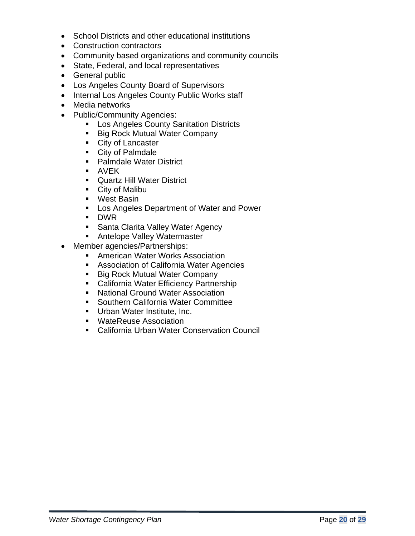- School Districts and other educational institutions
- Construction contractors
- Community based organizations and community councils
- State, Federal, and local representatives
- General public
- Los Angeles County Board of Supervisors
- Internal Los Angeles County Public Works staff
- Media networks
- Public/Community Agencies:
	- **E.** Los Angeles County Sanitation Districts
	- Big Rock Mutual Water Company
	- City of Lancaster
	- City of Palmdale
	- Palmdale Water District
	- AVFK
	- Quartz Hill Water District
	- City of Malibu
	- West Basin
	- Los Angeles Department of Water and Power
	- DWR
	- Santa Clarita Valley Water Agency
	- Antelope Valley Watermaster
- Member agencies/Partnerships:
	- American Water Works Association
	- Association of California Water Agencies
	- Big Rock Mutual Water Company
	- California Water Efficiency Partnership
	- National Ground Water Association
	- Southern California Water Committee
	- **■** Urban Water Institute, Inc.
	- WateReuse Association
	- California Urban Water Conservation Council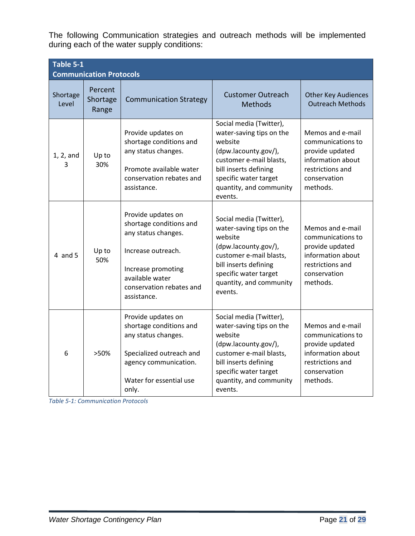The following Communication strategies and outreach methods will be implemented during each of the water supply conditions:

| Table 5-1<br><b>Communication Protocols</b> |                              |                                                                                                                                                                                |                                                                                                                                                                                                           |                                                                                                                               |  |
|---------------------------------------------|------------------------------|--------------------------------------------------------------------------------------------------------------------------------------------------------------------------------|-----------------------------------------------------------------------------------------------------------------------------------------------------------------------------------------------------------|-------------------------------------------------------------------------------------------------------------------------------|--|
| Shortage<br>Level                           | Percent<br>Shortage<br>Range | <b>Communication Strategy</b>                                                                                                                                                  | <b>Customer Outreach</b><br><b>Methods</b>                                                                                                                                                                | <b>Other Key Audiences</b><br><b>Outreach Methods</b>                                                                         |  |
| $1, 2,$ and<br>3                            | Up to<br>30%                 | Provide updates on<br>shortage conditions and<br>any status changes.<br>Promote available water<br>conservation rebates and<br>assistance.                                     | Social media (Twitter),<br>water-saving tips on the<br>website<br>(dpw.lacounty.gov/),<br>customer e-mail blasts,<br>bill inserts defining<br>specific water target<br>quantity, and community<br>events. | Memos and e-mail<br>communications to<br>provide updated<br>information about<br>restrictions and<br>conservation<br>methods. |  |
| $4$ and $5$                                 | Up to<br>50%                 | Provide updates on<br>shortage conditions and<br>any status changes.<br>Increase outreach.<br>Increase promoting<br>available water<br>conservation rebates and<br>assistance. | Social media (Twitter),<br>water-saving tips on the<br>website<br>(dpw.lacounty.gov/),<br>customer e-mail blasts,<br>bill inserts defining<br>specific water target<br>quantity, and community<br>events. | Memos and e-mail<br>communications to<br>provide updated<br>information about<br>restrictions and<br>conservation<br>methods. |  |
| 6                                           | >50%                         | Provide updates on<br>shortage conditions and<br>any status changes.<br>Specialized outreach and<br>agency communication.<br>Water for essential use<br>only.                  | Social media (Twitter),<br>water-saving tips on the<br>website<br>(dpw.lacounty.gov/),<br>customer e-mail blasts,<br>bill inserts defining<br>specific water target<br>quantity, and community<br>events. | Memos and e-mail<br>communications to<br>provide updated<br>information about<br>restrictions and<br>conservation<br>methods. |  |

*Table 5-1: Communication Protocols*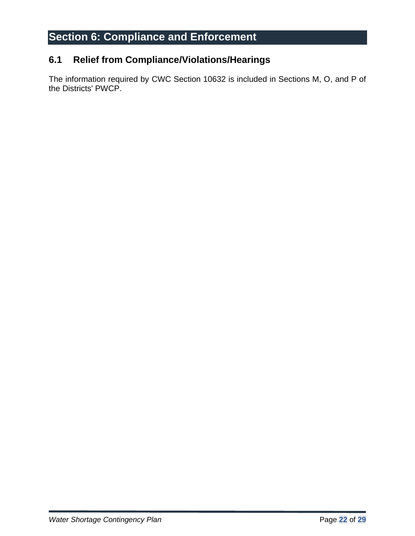## <span id="page-21-0"></span>**Section 6: Compliance and Enforcement**

### <span id="page-21-1"></span>**6.1 Relief from Compliance/Violations/Hearings**

The information required by CWC Section 10632 is included in Sections M, O, and P of the Districts' PWCP.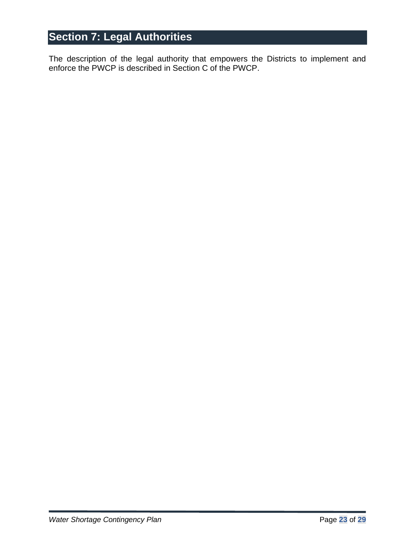## <span id="page-22-0"></span>**Section 7: Legal Authorities**

The description of the legal authority that empowers the Districts to implement and enforce the PWCP is described in Section C of the PWCP.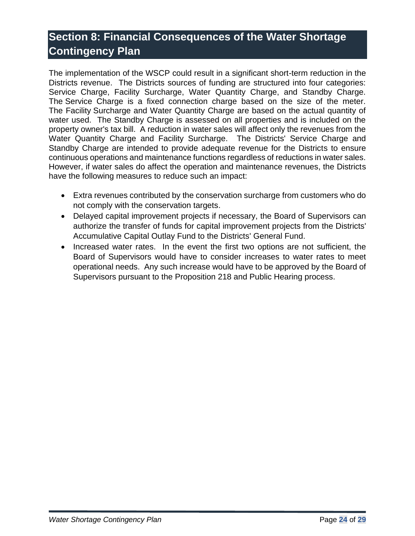## <span id="page-23-0"></span>**Section 8: Financial Consequences of the Water Shortage Contingency Plan**

The implementation of the WSCP could result in a significant short-term reduction in the Districts revenue. The Districts sources of funding are structured into four categories: Service Charge, Facility Surcharge, Water Quantity Charge, and Standby Charge. The Service Charge is a fixed connection charge based on the size of the meter. The Facility Surcharge and Water Quantity Charge are based on the actual quantity of water used. The Standby Charge is assessed on all properties and is included on the property owner's tax bill. A reduction in water sales will affect only the revenues from the Water Quantity Charge and Facility Surcharge. The Districts' Service Charge and Standby Charge are intended to provide adequate revenue for the Districts to ensure continuous operations and maintenance functions regardless of reductions in water sales. However, if water sales do affect the operation and maintenance revenues, the Districts have the following measures to reduce such an impact:

- Extra revenues contributed by the conservation surcharge from customers who do not comply with the conservation targets.
- Delayed capital improvement projects if necessary, the Board of Supervisors can authorize the transfer of funds for capital improvement projects from the Districts' Accumulative Capital Outlay Fund to the Districts' General Fund.
- Increased water rates. In the event the first two options are not sufficient, the Board of Supervisors would have to consider increases to water rates to meet operational needs. Any such increase would have to be approved by the Board of Supervisors pursuant to the Proposition 218 and Public Hearing process.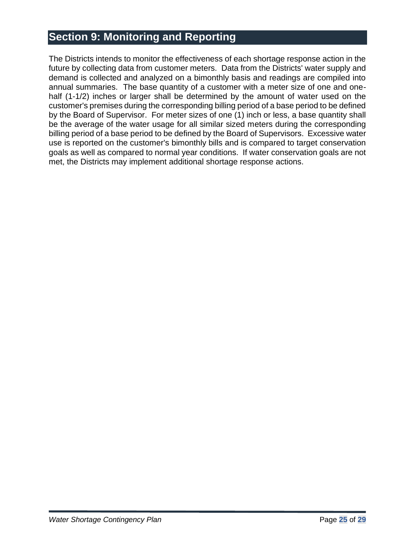## <span id="page-24-0"></span>**Section 9: Monitoring and Reporting**

The Districts intends to monitor the effectiveness of each shortage response action in the future by collecting data from customer meters. Data from the Districts' water supply and demand is collected and analyzed on a bimonthly basis and readings are compiled into annual summaries. The base quantity of a customer with a meter size of one and onehalf (1-1/2) inches or larger shall be determined by the amount of water used on the customer's premises during the corresponding billing period of a base period to be defined by the Board of Supervisor. For meter sizes of one (1) inch or less, a base quantity shall be the average of the water usage for all similar sized meters during the corresponding billing period of a base period to be defined by the Board of Supervisors. Excessive water use is reported on the customer's bimonthly bills and is compared to target conservation goals as well as compared to normal year conditions. If water conservation goals are not met, the Districts may implement additional shortage response actions.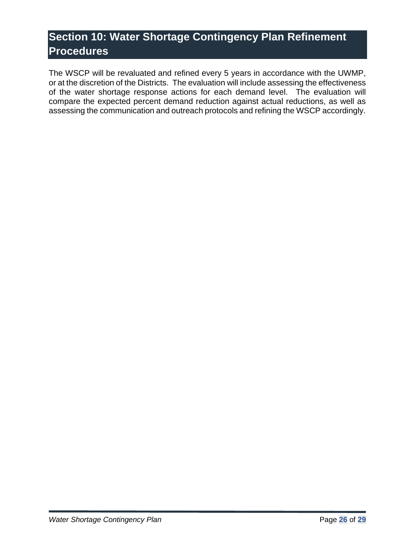## <span id="page-25-0"></span>**Section 10: Water Shortage Contingency Plan Refinement Procedures**

The WSCP will be revaluated and refined every 5 years in accordance with the UWMP, or at the discretion of the Districts. The evaluation will include assessing the effectiveness of the water shortage response actions for each demand level. The evaluation will compare the expected percent demand reduction against actual reductions, as well as assessing the communication and outreach protocols and refining the WSCP accordingly.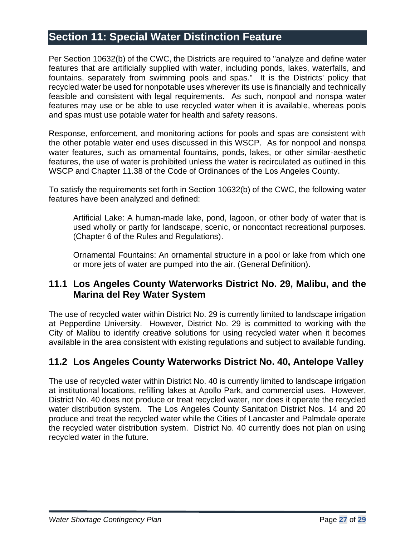## <span id="page-26-0"></span>**Section 11: Special Water Distinction Feature**

Per Section 10632(b) of the CWC, the Districts are required to "analyze and define water features that are artificially supplied with water, including ponds, lakes, waterfalls, and fountains, separately from swimming pools and spas." It is the Districts' policy that recycled water be used for nonpotable uses wherever its use is financially and technically feasible and consistent with legal requirements. As such, nonpool and nonspa water features may use or be able to use recycled water when it is available, whereas pools and spas must use potable water for health and safety reasons.

Response, enforcement, and monitoring actions for pools and spas are consistent with the other potable water end uses discussed in this WSCP. As for nonpool and nonspa water features, such as ornamental fountains, ponds, lakes, or other similar-aesthetic features, the use of water is prohibited unless the water is recirculated as outlined in this WSCP and Chapter 11.38 of the Code of Ordinances of the Los Angeles County.

To satisfy the requirements set forth in Section 10632(b) of the CWC, the following water features have been analyzed and defined:

Artificial Lake: A human-made lake, pond, lagoon, or other body of water that is used wholly or partly for landscape, scenic, or noncontact recreational purposes. (Chapter 6 of the Rules and Regulations).

Ornamental Fountains: An ornamental structure in a pool or lake from which one or more jets of water are pumped into the air. (General Definition).

#### <span id="page-26-1"></span>**11.1 Los Angeles County Waterworks District No. 29, Malibu, and the Marina del Rey Water System**

The use of recycled water within District No. 29 is currently limited to landscape irrigation at Pepperdine University. However, District No. 29 is committed to working with the City of Malibu to identify creative solutions for using recycled water when it becomes available in the area consistent with existing regulations and subject to available funding.

## <span id="page-26-2"></span>**11.2 Los Angeles County Waterworks District No. 40, Antelope Valley**

The use of recycled water within District No. 40 is currently limited to landscape irrigation at institutional locations, refilling lakes at Apollo Park, and commercial uses. However, District No. 40 does not produce or treat recycled water, nor does it operate the recycled water distribution system. The Los Angeles County Sanitation District Nos. 14 and 20 produce and treat the recycled water while the Cities of Lancaster and Palmdale operate the recycled water distribution system. District No. 40 currently does not plan on using recycled water in the future.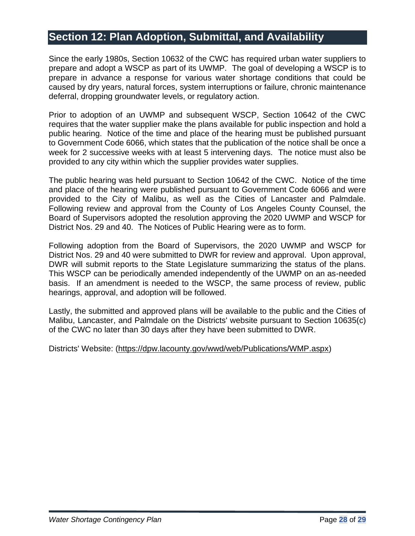## <span id="page-27-0"></span>**Section 12: Plan Adoption, Submittal, and Availability**

Since the early 1980s, Section 10632 of the CWC has required urban water suppliers to prepare and adopt a WSCP as part of its UWMP. The goal of developing a WSCP is to prepare in advance a response for various water shortage conditions that could be caused by dry years, natural forces, system interruptions or failure, chronic maintenance deferral, dropping groundwater levels, or regulatory action.

Prior to adoption of an UWMP and subsequent WSCP, Section 10642 of the CWC requires that the water supplier make the plans available for public inspection and hold a public hearing. Notice of the time and place of the hearing must be published pursuant to Government Code 6066, which states that the publication of the notice shall be once a week for 2 successive weeks with at least 5 intervening days. The notice must also be provided to any city within which the supplier provides water supplies.

The public hearing was held pursuant to Section 10642 of the CWC. Notice of the time and place of the hearing were published pursuant to Government Code 6066 and were provided to the City of Malibu, as well as the Cities of Lancaster and Palmdale. Following review and approval from the County of Los Angeles County Counsel, the Board of Supervisors adopted the resolution approving the 2020 UWMP and WSCP for District Nos. 29 and 40. The Notices of Public Hearing were as to form.

Following adoption from the Board of Supervisors, the 2020 UWMP and WSCP for District Nos. 29 and 40 were submitted to DWR for review and approval. Upon approval, DWR will submit reports to the State Legislature summarizing the status of the plans. This WSCP can be periodically amended independently of the UWMP on an as-needed basis. If an amendment is needed to the WSCP, the same process of review, public hearings, approval, and adoption will be followed.

Lastly, the submitted and approved plans will be available to the public and the Cities of Malibu, Lancaster, and Palmdale on the Districts' website pursuant to Section 10635(c) of the CWC no later than 30 days after they have been submitted to DWR.

Districts' Website: [\(https://dpw.lacounty.gov/wwd/web/Publications/WMP.aspx\)](https://dpw.lacounty.gov/wwd/web/Publications/WMP.aspx)